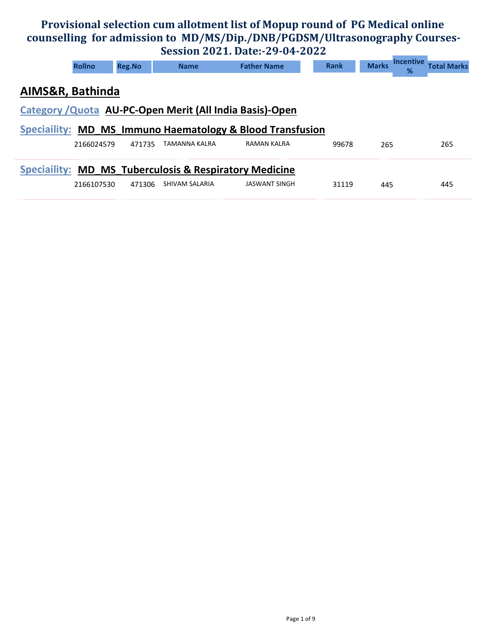## Provisional selection cum allotment list of Mopup round of PG Medical online counselling for admission to MD/MS/Dip./DNB/PGDSM/Ultrasonography Courses-Session 2021. Date:-29-04-2022

|                  | $DCDJUMI ZVZI$ . DUCT. $ZZU$                                      |               |                |                                                           |             |              |                                             |  |  |  |  |  |
|------------------|-------------------------------------------------------------------|---------------|----------------|-----------------------------------------------------------|-------------|--------------|---------------------------------------------|--|--|--|--|--|
|                  | <b>Rollno</b>                                                     | <b>Reg.No</b> | <b>Name</b>    | <b>Father Name</b>                                        | <b>Rank</b> | <b>Marks</b> | <b>Incentive</b><br><b>Total Marks</b><br>% |  |  |  |  |  |
| AIMS&R, Bathinda |                                                                   |               |                |                                                           |             |              |                                             |  |  |  |  |  |
|                  | Category / Quota AU-PC-Open Merit (All India Basis)-Open          |               |                |                                                           |             |              |                                             |  |  |  |  |  |
|                  |                                                                   |               |                | Speciallity: MD MS Immuno Haematology & Blood Transfusion |             |              |                                             |  |  |  |  |  |
|                  | 2166024579                                                        | 471735        | TAMANNA KALRA  | <b>RAMAN KALRA</b>                                        | 99678       | 265          | 265                                         |  |  |  |  |  |
|                  | <b>Speciallity: MD MS Tuberculosis &amp; Respiratory Medicine</b> |               |                |                                                           |             |              |                                             |  |  |  |  |  |
|                  | 2166107530                                                        | 471306        | SHIVAM SALARIA | <b>JASWANT SINGH</b>                                      | 31119       | 445          | 445                                         |  |  |  |  |  |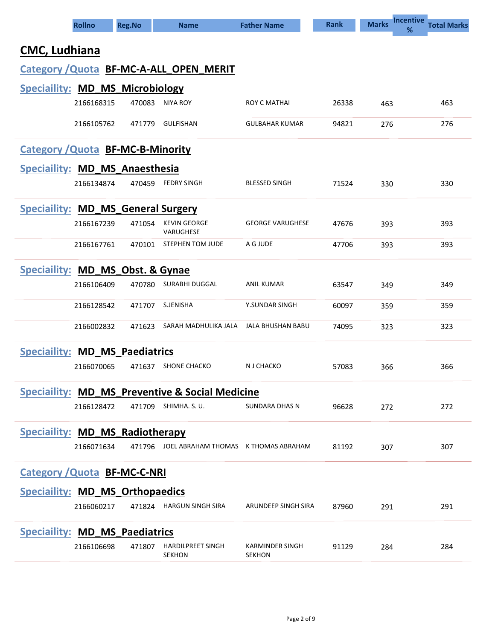|                                           | <b>Rollno</b> | <b>Reg.No</b> | <b>Name</b>                                                | <b>Father Name</b>               | <b>Rank</b> | <b>Incentive</b><br><b>Marks</b><br>% | <b>Total Marks</b> |
|-------------------------------------------|---------------|---------------|------------------------------------------------------------|----------------------------------|-------------|---------------------------------------|--------------------|
| <b>CMC, Ludhiana</b>                      |               |               |                                                            |                                  |             |                                       |                    |
|                                           |               |               | Category / Quota BF-MC-A-ALL OPEN MERIT                    |                                  |             |                                       |                    |
| <b>Speciallity: MD_MS_Microbiology</b>    |               |               |                                                            |                                  |             |                                       |                    |
|                                           | 2166168315    | 470083        | NIYA ROY                                                   | ROY C MATHAI                     | 26338       | 463                                   | 463                |
|                                           | 2166105762    | 471779        | <b>GULFISHAN</b>                                           | <b>GULBAHAR KUMAR</b>            | 94821       | 276                                   | 276                |
| <b>Category / Quota BF-MC-B-Minority</b>  |               |               |                                                            |                                  |             |                                       |                    |
| Speciallity: MD MS Anaesthesia            |               |               |                                                            |                                  |             |                                       |                    |
|                                           | 2166134874    | 470459        | <b>FEDRY SINGH</b>                                         | <b>BLESSED SINGH</b>             | 71524       | 330                                   | 330                |
| <b>Speciallity: MD_MS_General Surgery</b> |               |               |                                                            |                                  |             |                                       |                    |
|                                           | 2166167239    | 471054        | <b>KEVIN GEORGE</b><br>VARUGHESE                           | <b>GEORGE VARUGHESE</b>          | 47676       | 393                                   | 393                |
|                                           | 2166167761    | 470101        | STEPHEN TOM JUDE                                           | A G JUDE                         | 47706       | 393                                   | 393                |
| Speciallity: MD MS Obst. & Gynae          |               |               |                                                            |                                  |             |                                       |                    |
|                                           | 2166106409    | 470780        | SURABHI DUGGAL                                             | ANIL KUMAR                       | 63547       | 349                                   | 349                |
|                                           | 2166128542    | 471707        | S.JENISHA                                                  | Y.SUNDAR SINGH                   | 60097       | 359                                   | 359                |
|                                           | 2166002832    | 471623        | SARAH MADHULIKA JALA                                       | JALA BHUSHAN BABU                | 74095       | 323                                   | 323                |
| <b>Speciallity: MD_MS_Paediatrics</b>     |               |               |                                                            |                                  |             |                                       |                    |
|                                           | 2166070065    | 471637        | <b>SHONE CHACKO</b>                                        | N J CHACKO                       | 57083       | 366                                   | 366                |
|                                           |               |               | <b>Speciallity: MD_MS_Preventive &amp; Social Medicine</b> |                                  |             |                                       |                    |
|                                           | 2166128472    | 471709        | SHIMHA. S. U.                                              | <b>SUNDARA DHAS N</b>            | 96628       | 272                                   | 272                |
| <b>Speciallity: MD MS Radiotherapy</b>    |               |               |                                                            |                                  |             |                                       |                    |
|                                           | 2166071634    |               | 471796 JOEL ABRAHAM THOMAS K THOMAS ABRAHAM                |                                  | 81192       | 307                                   | 307                |
| <b>Category / Quota BF-MC-C-NRI</b>       |               |               |                                                            |                                  |             |                                       |                    |
| <b>Speciallity: MD_MS_Orthopaedics</b>    |               |               |                                                            |                                  |             |                                       |                    |
|                                           | 2166060217    |               | 471824 HARGUN SINGH SIRA                                   | ARUNDEEP SINGH SIRA              | 87960       | 291                                   | 291                |
| <b>Speciallity: MD MS Paediatrics</b>     |               |               |                                                            |                                  |             |                                       |                    |
|                                           | 2166106698    | 471807        | <b>HARDILPREET SINGH</b><br><b>SEKHON</b>                  | KARMINDER SINGH<br><b>SEKHON</b> | 91129       | 284                                   | 284                |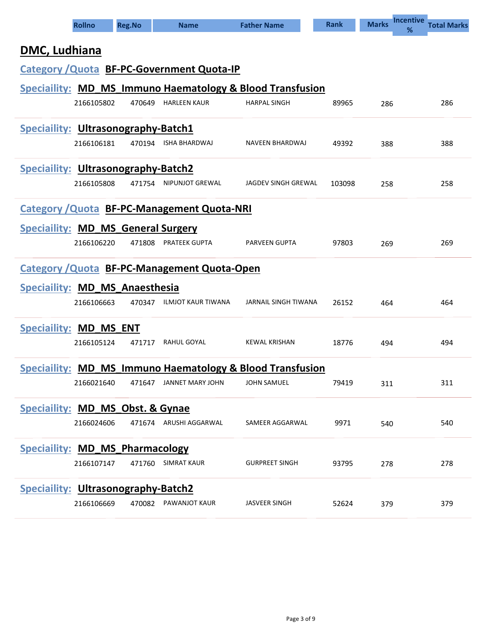|                                            | <b>Rollno</b>                       | <b>Reg.No</b> | <b>Name</b>                                               | <b>Father Name</b>    | <b>Rank</b> | <b>Incentive</b><br><b>Marks</b><br>% | <b>Total Marks</b> |  |  |  |  |  |
|--------------------------------------------|-------------------------------------|---------------|-----------------------------------------------------------|-----------------------|-------------|---------------------------------------|--------------------|--|--|--|--|--|
| DMC, Ludhiana                              |                                     |               |                                                           |                       |             |                                       |                    |  |  |  |  |  |
|                                            |                                     |               | <b>Category / Quota BF-PC-Government Quota-IP</b>         |                       |             |                                       |                    |  |  |  |  |  |
|                                            |                                     |               | Speciaility: MD_MS_Immuno Haematology & Blood Transfusion |                       |             |                                       |                    |  |  |  |  |  |
|                                            | 2166105802                          | 470649        | <b>HARLEEN KAUR</b>                                       | <b>HARPAL SINGH</b>   | 89965       | 286                                   | 286                |  |  |  |  |  |
|                                            | Speciallity: Ultrasonography-Batch1 |               |                                                           |                       |             |                                       |                    |  |  |  |  |  |
|                                            | 2166106181                          |               | 470194 ISHA BHARDWAJ                                      | NAVEEN BHARDWAJ       | 49392       | 388                                   | 388                |  |  |  |  |  |
| <b>Speciallity: Ultrasonography-Batch2</b> |                                     |               |                                                           |                       |             |                                       |                    |  |  |  |  |  |
|                                            | 2166105808                          | 471754        | NIPUNJOT GREWAL                                           | JAGDEV SINGH GREWAL   | 103098      | 258                                   | 258                |  |  |  |  |  |
|                                            |                                     |               | <b>Category / Quota BF-PC-Management Quota-NRI</b>        |                       |             |                                       |                    |  |  |  |  |  |
| <b>Speciallity: MD_MS_General Surgery</b>  |                                     |               |                                                           |                       |             |                                       |                    |  |  |  |  |  |
|                                            | 2166106220                          | 471808        | <b>PRATEEK GUPTA</b>                                      | <b>PARVEEN GUPTA</b>  | 97803       | 269                                   | 269                |  |  |  |  |  |
|                                            |                                     |               | <b>Category / Quota BF-PC-Management Quota-Open</b>       |                       |             |                                       |                    |  |  |  |  |  |
| Speciallity: MD MS Anaesthesia             |                                     |               |                                                           |                       |             |                                       |                    |  |  |  |  |  |
|                                            | 2166106663                          |               | 470347 ILMJOT KAUR TIWANA                                 | JARNAIL SINGH TIWANA  | 26152       | 464                                   | 464                |  |  |  |  |  |
| <b>Speciallity: MD_MS_ENT</b>              |                                     |               |                                                           |                       |             |                                       |                    |  |  |  |  |  |
|                                            | 2166105124                          | 471717        | RAHUL GOYAL                                               | <b>KEWAL KRISHAN</b>  | 18776       | 494                                   | 494                |  |  |  |  |  |
|                                            |                                     |               | Speciallity: MD_MS_Immuno Haematology & Blood Transfusion |                       |             |                                       |                    |  |  |  |  |  |
|                                            | 2166021640                          |               | 471647 JANNET MARY JOHN                                   | <b>JOHN SAMUEL</b>    | 79419       | 311                                   | 311                |  |  |  |  |  |
| Speciallity: MD_MS_Obst. & Gynae           |                                     |               |                                                           |                       |             |                                       |                    |  |  |  |  |  |
|                                            | 2166024606                          |               | 471674 ARUSHI AGGARWAL                                    | SAMEER AGGARWAL       | 9971        | 540                                   | 540                |  |  |  |  |  |
| <b>Speciallity: MD_MS_Pharmacology</b>     |                                     |               |                                                           |                       |             |                                       |                    |  |  |  |  |  |
|                                            | 2166107147                          | 471760        | SIMRAT KAUR                                               | <b>GURPREET SINGH</b> | 93795       | 278                                   | 278                |  |  |  |  |  |
| <b>Speciallity: Ultrasonography-Batch2</b> |                                     |               |                                                           |                       |             |                                       |                    |  |  |  |  |  |
|                                            | 2166106669                          |               | 470082 PAWANJOT KAUR                                      | <b>JASVEER SINGH</b>  | 52624       | 379                                   | 379                |  |  |  |  |  |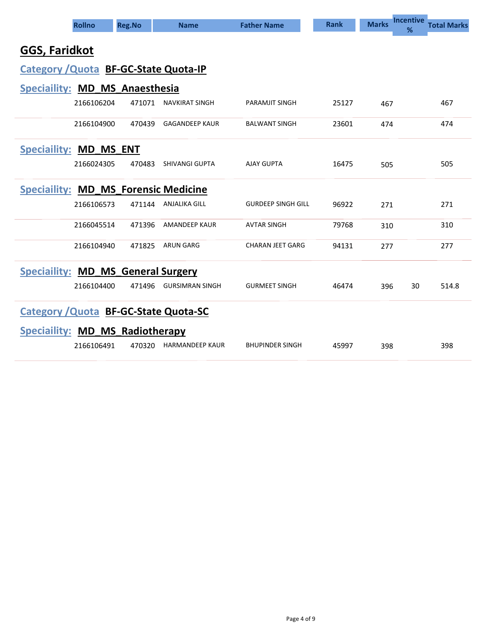| <b>Rollno</b>                               | <b>Reg.No</b>                                | <b>Name</b>            | <b>Father Name</b>        | <b>Rank</b> | <b>Incentive</b><br><b>Marks</b><br>% | <b>Total Marks</b> |  |  |  |  |  |  |
|---------------------------------------------|----------------------------------------------|------------------------|---------------------------|-------------|---------------------------------------|--------------------|--|--|--|--|--|--|
| GGS, Faridkot                               |                                              |                        |                           |             |                                       |                    |  |  |  |  |  |  |
| Category / Quota BF-GC-State Quota-IP       |                                              |                        |                           |             |                                       |                    |  |  |  |  |  |  |
| Speciallity: MD_MS_Anaesthesia              |                                              |                        |                           |             |                                       |                    |  |  |  |  |  |  |
| 2166106204                                  | 471071                                       | NAVKIRAT SINGH         | <b>PARAMJIT SINGH</b>     | 25127       | 467                                   | 467                |  |  |  |  |  |  |
| 2166104900                                  | 470439                                       | <b>GAGANDEEP KAUR</b>  | <b>BALWANT SINGH</b>      | 23601       | 474                                   | 474                |  |  |  |  |  |  |
| <b>Speciallity: MD MS ENT</b>               |                                              |                        |                           |             |                                       |                    |  |  |  |  |  |  |
| 2166024305                                  | 470483                                       | <b>SHIVANGI GUPTA</b>  | <b>AJAY GUPTA</b>         | 16475       | 505                                   | 505                |  |  |  |  |  |  |
| <b>Speciallity: MD_MS_Forensic Medicine</b> |                                              |                        |                           |             |                                       |                    |  |  |  |  |  |  |
| 2166106573                                  | 471144                                       | <b>ANJALIKA GILL</b>   | <b>GURDEEP SINGH GILL</b> | 96922       | 271                                   | 271                |  |  |  |  |  |  |
| 2166045514                                  | 471396                                       | <b>AMANDEEP KAUR</b>   | <b>AVTAR SINGH</b>        | 79768       | 310                                   | 310                |  |  |  |  |  |  |
| 2166104940                                  | 471825                                       | <b>ARUN GARG</b>       | <b>CHARAN JEET GARG</b>   | 94131       | 277                                   | 277                |  |  |  |  |  |  |
| <b>Speciallity: MD_MS_General Surgery</b>   |                                              |                        |                           |             |                                       |                    |  |  |  |  |  |  |
| 2166104400                                  | 471496                                       | <b>GURSIMRAN SINGH</b> | <b>GURMEET SINGH</b>      | 46474       | 30<br>396                             | 514.8              |  |  |  |  |  |  |
|                                             | <b>Category / Quota BF-GC-State Quota-SC</b> |                        |                           |             |                                       |                    |  |  |  |  |  |  |
| <b>Speciallity: MD MS Radiotherapy</b>      |                                              |                        |                           |             |                                       |                    |  |  |  |  |  |  |
| 2166106491                                  | 470320                                       | <b>HARMANDEEP KAUR</b> | <b>BHUPINDER SINGH</b>    | 45997       | 398                                   | 398                |  |  |  |  |  |  |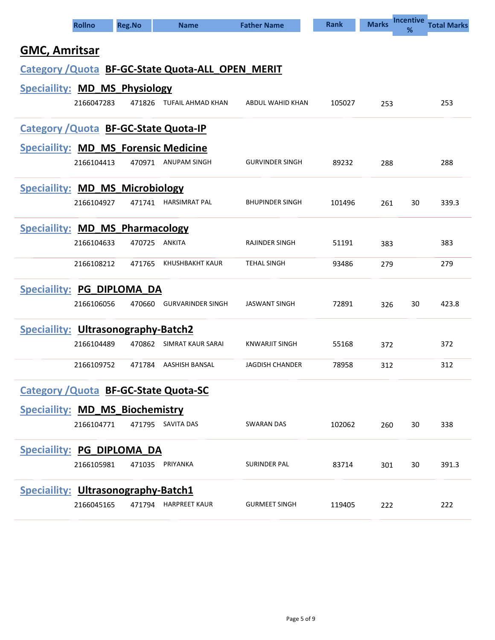| <b>Rollno</b>                                     |            | <b>Reg.No</b> | <b>Name</b>              | <b>Father Name</b>     | <b>Rank</b> | <b>Marks</b> | <b>Incentive</b><br>% | <b>Total Marks</b> |  |  |  |  |
|---------------------------------------------------|------------|---------------|--------------------------|------------------------|-------------|--------------|-----------------------|--------------------|--|--|--|--|
| <b>GMC, Amritsar</b>                              |            |               |                          |                        |             |              |                       |                    |  |  |  |  |
| Category / Quota BF-GC-State Quota-ALL OPEN MERIT |            |               |                          |                        |             |              |                       |                    |  |  |  |  |
| <b>Speciallity: MD_MS_Physiology</b>              |            |               |                          |                        |             |              |                       |                    |  |  |  |  |
|                                                   | 2166047283 |               | 471826 TUFAIL AHMAD KHAN | ABDUL WAHID KHAN       | 105027      | 253          |                       | 253                |  |  |  |  |
| <b>Category / Quota BF-GC-State Quota-IP</b>      |            |               |                          |                        |             |              |                       |                    |  |  |  |  |
| <b>Speciallity: MD_MS_Forensic Medicine</b>       |            |               |                          |                        |             |              |                       |                    |  |  |  |  |
|                                                   | 2166104413 | 470971        | ANUPAM SINGH             | <b>GURVINDER SINGH</b> | 89232       | 288          |                       | 288                |  |  |  |  |
| <b>Speciallity: MD_MS_Microbiology</b>            |            |               |                          |                        |             |              |                       |                    |  |  |  |  |
|                                                   | 2166104927 | 471741        | <b>HARSIMRAT PAL</b>     | <b>BHUPINDER SINGH</b> | 101496      | 261          | 30                    | 339.3              |  |  |  |  |
| <b>Speciallity: MD MS Pharmacology</b>            |            |               |                          |                        |             |              |                       |                    |  |  |  |  |
|                                                   | 2166104633 | 470725        | <b>ANKITA</b>            | <b>RAJINDER SINGH</b>  | 51191       | 383          |                       | 383                |  |  |  |  |
|                                                   | 2166108212 | 471765        | KHUSHBAKHT KAUR          | <b>TEHAL SINGH</b>     | 93486       | 279          |                       | 279                |  |  |  |  |
| <b>Speciallity: PG_DIPLOMA DA</b>                 |            |               |                          |                        |             |              |                       |                    |  |  |  |  |
|                                                   | 2166106056 | 470660        | <b>GURVARINDER SINGH</b> | JASWANT SINGH          | 72891       | 326          | 30                    | 423.8              |  |  |  |  |
| <b>Speciaility: Ultrasonography-Batch2</b>        |            |               |                          |                        |             |              |                       |                    |  |  |  |  |
|                                                   | 2166104489 | 470862        | SIMRAT KAUR SARAI        | KNWARJIT SINGH         | 55168       | 372          |                       | 372                |  |  |  |  |
|                                                   | 2166109752 | 471784        | AASHISH BANSAL           | <b>JAGDISH CHANDER</b> | 78958       | 312          |                       | 312                |  |  |  |  |
| <b>Category / Quota BF-GC-State Quota-SC</b>      |            |               |                          |                        |             |              |                       |                    |  |  |  |  |
| <b>Speciallity: MD_MS_Biochemistry</b>            |            |               |                          |                        |             |              |                       |                    |  |  |  |  |
|                                                   | 2166104771 |               | 471795 SAVITA DAS        | SWARAN DAS             | 102062      | 260          | 30                    | 338                |  |  |  |  |
| <b>Speciallity: PG_DIPLOMA_DA</b>                 |            |               |                          |                        |             |              |                       |                    |  |  |  |  |
|                                                   | 2166105981 | 471035        | PRIYANKA                 | <b>SURINDER PAL</b>    | 83714       | 301          | 30                    | 391.3              |  |  |  |  |
| <b>Speciallity: Ultrasonography-Batch1</b>        |            |               |                          |                        |             |              |                       |                    |  |  |  |  |
|                                                   | 2166045165 | 471794        | <b>HARPREET KAUR</b>     | <b>GURMEET SINGH</b>   | 119405      | 222          |                       | 222                |  |  |  |  |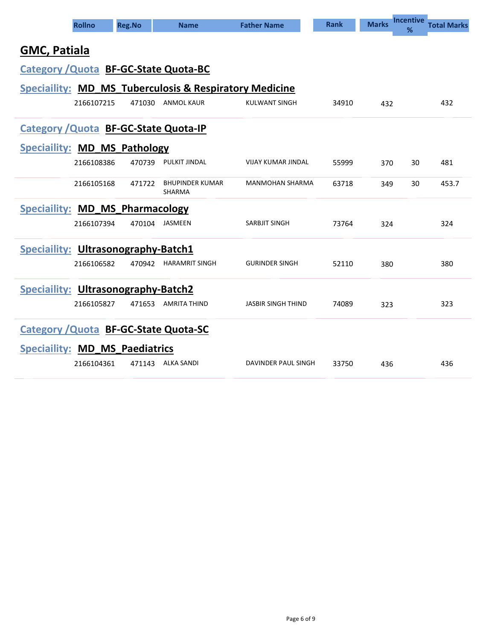|                                                                   | <b>Rollno</b> | <b>Reg.No</b> | <b>Name</b>                                  | <b>Father Name</b>        | <b>Rank</b> | <b>Marks</b> | <b>Incentive</b><br>% | <b>Total Marks</b> |  |  |  |
|-------------------------------------------------------------------|---------------|---------------|----------------------------------------------|---------------------------|-------------|--------------|-----------------------|--------------------|--|--|--|
| <b>GMC, Patiala</b>                                               |               |               |                                              |                           |             |              |                       |                    |  |  |  |
| <b>Category / Quota BF-GC-State Quota-BC</b>                      |               |               |                                              |                           |             |              |                       |                    |  |  |  |
| <b>Speciallity: MD_MS_Tuberculosis &amp; Respiratory Medicine</b> |               |               |                                              |                           |             |              |                       |                    |  |  |  |
|                                                                   | 2166107215    | 471030        | ANMOL KAUR                                   | <b>KULWANT SINGH</b>      | 34910       | 432          |                       | 432                |  |  |  |
|                                                                   |               |               | <b>Category / Quota BF-GC-State Quota-IP</b> |                           |             |              |                       |                    |  |  |  |
| <b>Speciallity: MD MS Pathology</b>                               |               |               |                                              |                           |             |              |                       |                    |  |  |  |
|                                                                   | 2166108386    | 470739        | PULKIT JINDAL                                | <b>VIJAY KUMAR JINDAL</b> | 55999       | 370          | 30                    | 481                |  |  |  |
|                                                                   | 2166105168    | 471722        | <b>BHUPINDER KUMAR</b><br>SHARMA             | <b>MANMOHAN SHARMA</b>    | 63718       | 349          | 30                    | 453.7              |  |  |  |
| <b>Speciallity: MD MS Pharmacology</b>                            |               |               |                                              |                           |             |              |                       |                    |  |  |  |
|                                                                   | 2166107394    |               | 470104 JASMEEN                               | <b>SARBJIT SINGH</b>      | 73764       | 324          |                       | 324                |  |  |  |
| <b>Speciallity: Ultrasonography-Batch1</b>                        |               |               |                                              |                           |             |              |                       |                    |  |  |  |
|                                                                   | 2166106582    | 470942        | <b>HARAMRIT SINGH</b>                        | <b>GURINDER SINGH</b>     | 52110       | 380          |                       | 380                |  |  |  |
| Speciallity: Ultrasonography-Batch2                               |               |               |                                              |                           |             |              |                       |                    |  |  |  |
|                                                                   | 2166105827    |               | 471653 AMRITA THIND                          | <b>JASBIR SINGH THIND</b> | 74089       | 323          |                       | 323                |  |  |  |
|                                                                   |               |               | <b>Category / Quota BF-GC-State Quota-SC</b> |                           |             |              |                       |                    |  |  |  |
| <b>Speciallity: MD MS Paediatrics</b>                             |               |               |                                              |                           |             |              |                       |                    |  |  |  |
|                                                                   | 2166104361    | 471143        | ALKA SANDI                                   | DAVINDER PAUL SINGH       | 33750       | 436          |                       | 436                |  |  |  |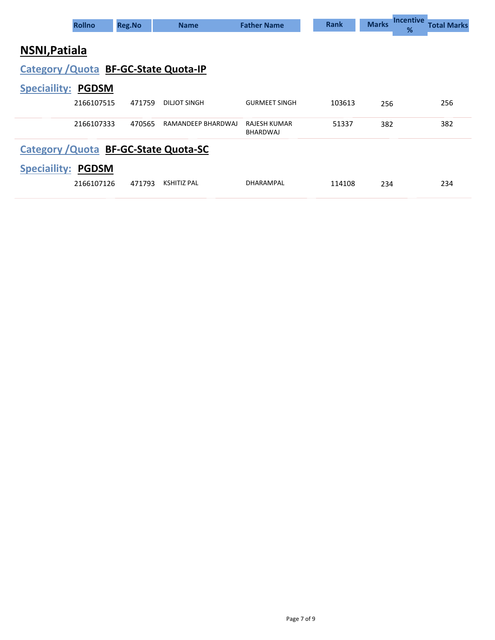|                                       | <b>Rollno</b>                         | <b>Reg.No</b> | <b>Name</b>         | <b>Father Name</b>       | <b>Rank</b> | <b>Marks</b> | <b>Incentive</b><br>% | <b>Total Marks</b> |  |  |  |  |
|---------------------------------------|---------------------------------------|---------------|---------------------|--------------------------|-------------|--------------|-----------------------|--------------------|--|--|--|--|
| NSNI, Patiala                         |                                       |               |                     |                          |             |              |                       |                    |  |  |  |  |
| Category / Quota BF-GC-State Quota-IP |                                       |               |                     |                          |             |              |                       |                    |  |  |  |  |
| <b>Speciallity: PGDSM</b>             |                                       |               |                     |                          |             |              |                       |                    |  |  |  |  |
|                                       | 2166107515                            | 471759        | <b>DILJOT SINGH</b> | <b>GURMEET SINGH</b>     | 103613      | 256          |                       | 256                |  |  |  |  |
|                                       | 2166107333                            | 470565        | RAMANDEEP BHARDWAJ  | RAJESH KUMAR<br>BHARDWAJ | 51337       | 382          |                       | 382                |  |  |  |  |
|                                       | Category / Quota BF-GC-State Quota-SC |               |                     |                          |             |              |                       |                    |  |  |  |  |
| <b>Speciaility:</b>                   | <b>PGDSM</b>                          |               |                     |                          |             |              |                       |                    |  |  |  |  |
|                                       | 2166107126                            | 471793        | <b>KSHITIZ PAL</b>  | DHARAMPAL                | 114108      | 234          |                       | 234                |  |  |  |  |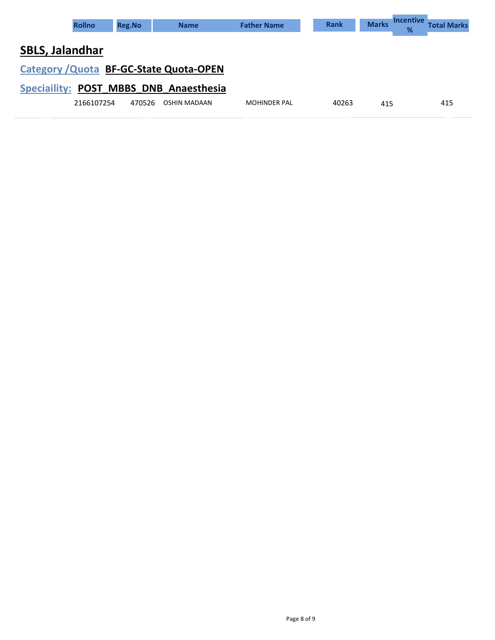| <b>Rollno</b>                           | <b>Reg.No</b> | <b>Name</b>  | <b>Father Name</b>  | <b>Rank</b> | <b>Marks</b> | <b>Incentive</b><br>% | <b>Total Marks</b> |
|-----------------------------------------|---------------|--------------|---------------------|-------------|--------------|-----------------------|--------------------|
| <b>SBLS, Jalandhar</b>                  |               |              |                     |             |              |                       |                    |
| Category / Quota BF-GC-State Quota-OPEN |               |              |                     |             |              |                       |                    |
| Speciallity: POST MBBS DNB Anaesthesia  |               |              |                     |             |              |                       |                    |
| 2166107254                              | 470526        | OSHIN MADAAN | <b>MOHINDER PAL</b> | 40263       | 415          |                       | 415                |